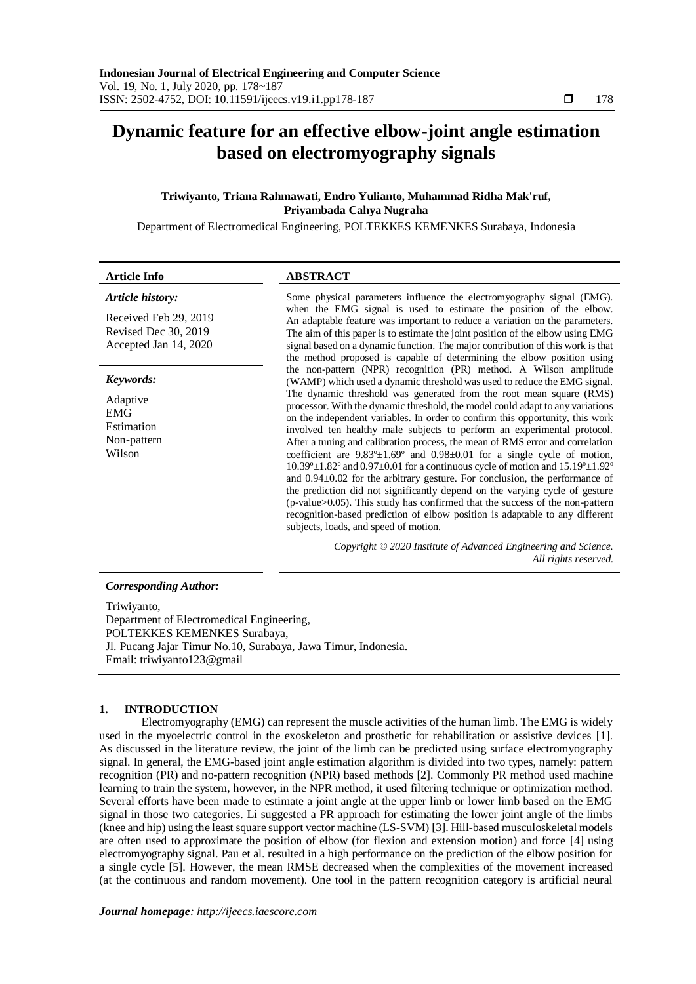# **Dynamic feature for an effective elbow-joint angle estimation based on electromyography signals**

# **Triwiyanto, Triana Rahmawati, Endro Yulianto, Muhammad Ridha Mak'ruf, Priyambada Cahya Nugraha**

Department of Electromedical Engineering, POLTEKKES KEMENKES Surabaya, Indonesia

Department of Electromedical Engineering, POLTEKKES KEMENKES Surabaya, Jl. Pucang Jajar Timur No.10, Surabaya, Jawa Timur, Indonesia. Email: triwiyanto123@gmail

# **1. INTRODUCTION**

Electromyography (EMG) can represent the muscle activities of the human limb. The EMG is widely used in the myoelectric control in the exoskeleton and prosthetic for rehabilitation or assistive devices [1]. As discussed in the literature review, the joint of the limb can be predicted using surface electromyography signal. In general, the EMG-based joint angle estimation algorithm is divided into two types, namely: pattern recognition (PR) and no-pattern recognition (NPR) based methods [2]. Commonly PR method used machine learning to train the system, however, in the NPR method, it used filtering technique or optimization method. Several efforts have been made to estimate a joint angle at the upper limb or lower limb based on the EMG signal in those two categories. Li suggested a PR approach for estimating the lower joint angle of the limbs (knee and hip) using the least square support vector machine (LS-SVM) [3]. Hill-based musculoskeletal models are often used to approximate the position of elbow (for flexion and extension motion) and force [4] using electromyography signal. Pau et al. resulted in a high performance on the prediction of the elbow position for a single cycle [5]. However, the mean RMSE decreased when the complexities of the movement increased (at the continuous and random movement). One tool in the pattern recognition category is artificial neural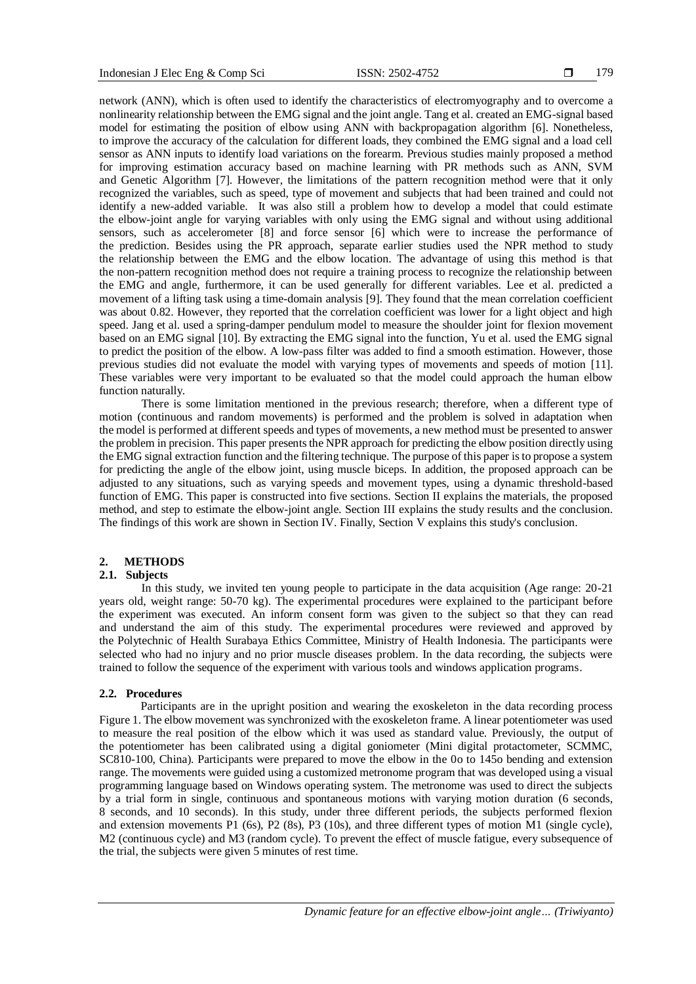network (ANN), which is often used to identify the characteristics of electromyography and to overcome a nonlinearity relationship between the EMG signal and the joint angle. Tang et al. created an EMG-signal based model for estimating the position of elbow using ANN with backpropagation algorithm [6]. Nonetheless, to improve the accuracy of the calculation for different loads, they combined the EMG signal and a load cell sensor as ANN inputs to identify load variations on the forearm. Previous studies mainly proposed a method for improving estimation accuracy based on machine learning with PR methods such as ANN, SVM and Genetic Algorithm [7]. However, the limitations of the pattern recognition method were that it only recognized the variables, such as speed, type of movement and subjects that had been trained and could not identify a new-added variable. It was also still a problem how to develop a model that could estimate the elbow-joint angle for varying variables with only using the EMG signal and without using additional sensors, such as accelerometer [8] and force sensor [6] which were to increase the performance of the prediction. Besides using the PR approach, separate earlier studies used the NPR method to study the relationship between the EMG and the elbow location. The advantage of using this method is that the non-pattern recognition method does not require a training process to recognize the relationship between the EMG and angle, furthermore, it can be used generally for different variables. Lee et al. predicted a movement of a lifting task using a time-domain analysis [9]. They found that the mean correlation coefficient was about 0.82. However, they reported that the correlation coefficient was lower for a light object and high speed. Jang et al. used a spring-damper pendulum model to measure the shoulder joint for flexion movement based on an EMG signal [10]. By extracting the EMG signal into the function, Yu et al. used the EMG signal to predict the position of the elbow. A low-pass filter was added to find a smooth estimation. However, those previous studies did not evaluate the model with varying types of movements and speeds of motion [11]. These variables were very important to be evaluated so that the model could approach the human elbow function naturally.

There is some limitation mentioned in the previous research; therefore, when a different type of motion (continuous and random movements) is performed and the problem is solved in adaptation when the model is performed at different speeds and types of movements, a new method must be presented to answer the problem in precision. This paper presents the NPR approach for predicting the elbow position directly using the EMG signal extraction function and the filtering technique. The purpose of this paper is to propose a system for predicting the angle of the elbow joint, using muscle biceps. In addition, the proposed approach can be adjusted to any situations, such as varying speeds and movement types, using a dynamic threshold-based function of EMG. This paper is constructed into five sections. Section II explains the materials, the proposed method, and step to estimate the elbow-joint angle. Section III explains the study results and the conclusion. The findings of this work are shown in Section IV. Finally, Section V explains this study's conclusion.

# **2. METHODS**

# **2.1. Subjects**

In this study, we invited ten young people to participate in the data acquisition (Age range: 20-21 years old, weight range: 50-70 kg). The experimental procedures were explained to the participant before the experiment was executed. An inform consent form was given to the subject so that they can read and understand the aim of this study. The experimental procedures were reviewed and approved by the Polytechnic of Health Surabaya Ethics Committee, Ministry of Health Indonesia. The participants were selected who had no injury and no prior muscle diseases problem. In the data recording, the subjects were trained to follow the sequence of the experiment with various tools and windows application programs.

#### **2.2. Procedures**

Participants are in the upright position and wearing the exoskeleton in the data recording process Figure 1. The elbow movement was synchronized with the exoskeleton frame. A linear potentiometer was used to measure the real position of the elbow which it was used as standard value. Previously, the output of the potentiometer has been calibrated using a digital goniometer (Mini digital protactometer, SCMMC, SC810-100, China). Participants were prepared to move the elbow in the 0o to 145o bending and extension range. The movements were guided using a customized metronome program that was developed using a visual programming language based on Windows operating system. The metronome was used to direct the subjects by a trial form in single, continuous and spontaneous motions with varying motion duration (6 seconds, 8 seconds, and 10 seconds). In this study, under three different periods, the subjects performed flexion and extension movements P1 (6s), P2 (8s), P3 (10s), and three different types of motion M1 (single cycle), M2 (continuous cycle) and M3 (random cycle). To prevent the effect of muscle fatigue, every subsequence of the trial, the subjects were given 5 minutes of rest time.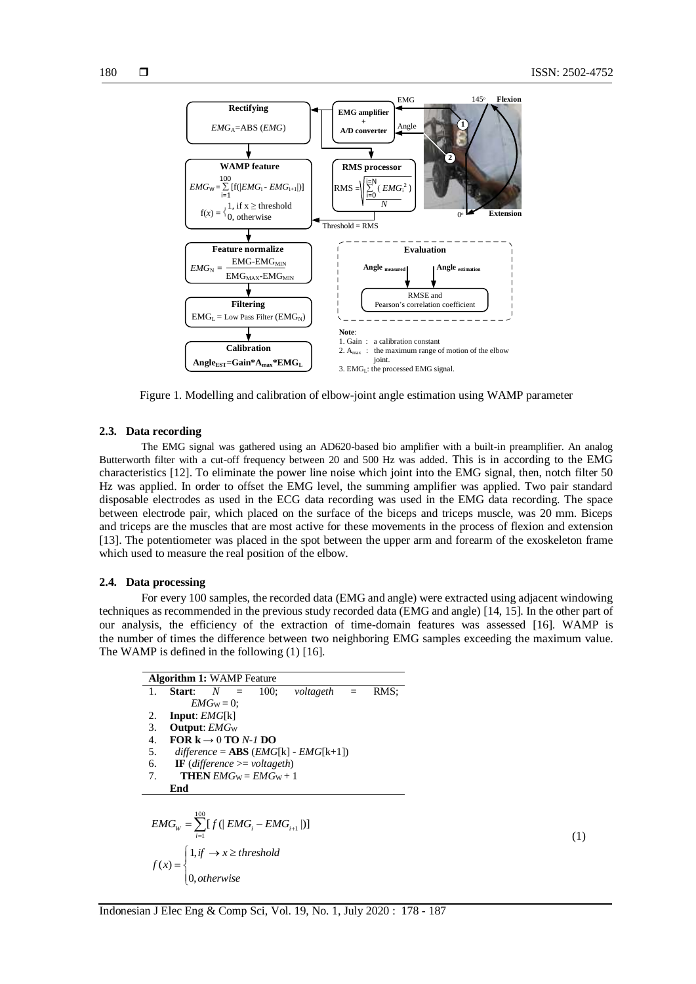

Figure 1. Modelling and calibration of elbow-joint angle estimation using WAMP parameter

## **2.3. Data recording**

The EMG signal was gathered using an AD620-based bio amplifier with a built-in preamplifier. An analog Butterworth filter with a cut-off frequency between 20 and 500 Hz was added. This is in according to the EMG characteristics [12]. To eliminate the power line noise which joint into the EMG signal, then, notch filter 50 Hz was applied. In order to offset the EMG level, the summing amplifier was applied. Two pair standard disposable electrodes as used in the ECG data recording was used in the EMG data recording. The space between electrode pair, which placed on the surface of the biceps and triceps muscle, was 20 mm. Biceps and triceps are the muscles that are most active for these movements in the process of flexion and extension [13]. The potentiometer was placed in the spot between the upper arm and forearm of the exoskeleton frame which used to measure the real position of the elbow.

#### **2.4. Data processing**

For every 100 samples, the recorded data (EMG and angle) were extracted using adjacent windowing techniques as recommended in the previous study recorded data (EMG and angle) [14, 15]. In the other part of our analysis, the efficiency of the extraction of time-domain features was assessed [16]. WAMP is the number of times the difference between two neighboring EMG samples exceeding the maximum value. The WAMP is defined in the following (1) [16].

| <b>Algorithm 1: WAMP Feature</b>                                                                                   |                                                   |              |  |  |                                               |  |      |  |  |
|--------------------------------------------------------------------------------------------------------------------|---------------------------------------------------|--------------|--|--|-----------------------------------------------|--|------|--|--|
|                                                                                                                    |                                                   |              |  |  | <b>Start</b> : $N = 100$ ; <i>voltageth</i> = |  | RMS: |  |  |
|                                                                                                                    |                                                   | $EMGw = 0$ : |  |  |                                               |  |      |  |  |
| 2.                                                                                                                 | <b>Input:</b> $EMG[k]$                            |              |  |  |                                               |  |      |  |  |
| 3.                                                                                                                 | <b>Output:</b> <i>EMGw</i>                        |              |  |  |                                               |  |      |  |  |
| 4.<br>FOR $k \rightarrow 0$ TO N-1 DO                                                                              |                                                   |              |  |  |                                               |  |      |  |  |
| 5.<br>$difference = ABS (EMG[k] - EMG[k+1])$                                                                       |                                                   |              |  |  |                                               |  |      |  |  |
| 6.                                                                                                                 | $\mathbf{IF}$ (difference $\mathbf{F}$ voltageth) |              |  |  |                                               |  |      |  |  |
| 7.                                                                                                                 | <b>THEN</b> $EMGw = EMGw + 1$                     |              |  |  |                                               |  |      |  |  |
| End                                                                                                                |                                                   |              |  |  |                                               |  |      |  |  |
| $EMG_{W} = \sum_{i=1}^{100} [f( EMG_{i} - EMG_{i+1} )]$                                                            |                                                   |              |  |  |                                               |  |      |  |  |
| $f(x) = \begin{cases} 1, & \text{if } x \geq \text{threshold} \\ & \text{if } x \geq \text{threshold} \end{cases}$ |                                                   |              |  |  |                                               |  |      |  |  |

(1)

*otherwise* 0,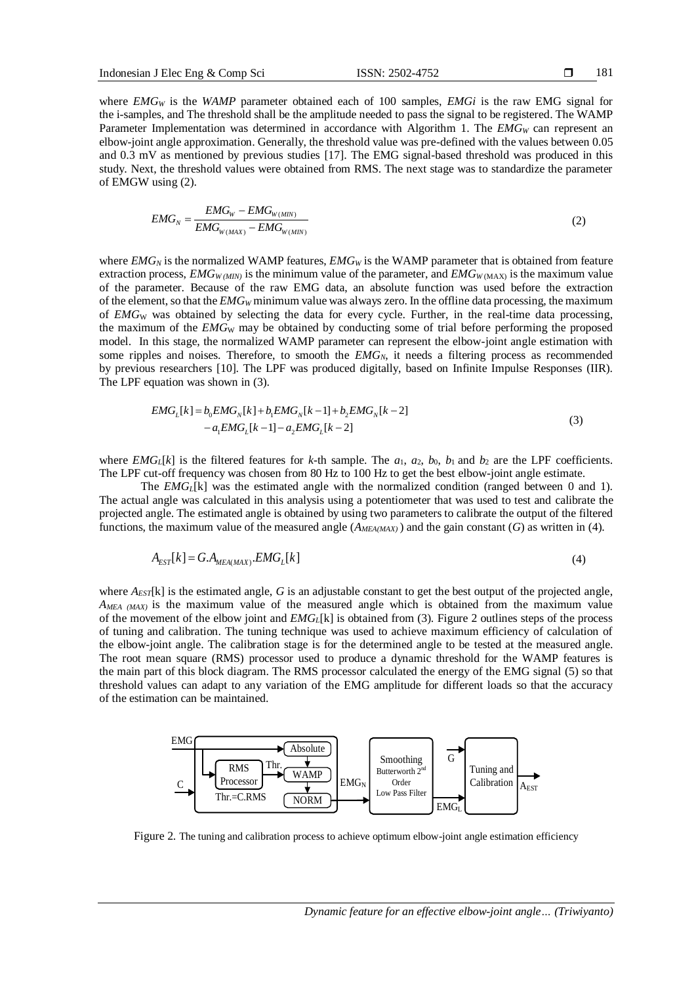181

where *EMG<sup>W</sup>* is the *WAMP* parameter obtained each of 100 samples, *EMGi* is the raw EMG signal for the i-samples, and The threshold shall be the amplitude needed to pass the signal to be registered. The WAMP Parameter Implementation was determined in accordance with Algorithm 1. The *EMG<sub>W</sub>* can represent an elbow-joint angle approximation. Generally, the threshold value was pre-defined with the values between 0.05 and 0.3 mV as mentioned by previous studies [17]. The EMG signal-based threshold was produced in this study. Next, the threshold values were obtained from RMS. The next stage was to standardize the parameter of EMGW using (2).

$$
EMG_N = \frac{EMG_W - EMG_{W(MIN)}}{EMG_{W(MAX)} - EMG_{W(MIN)}}\tag{2}
$$

where *EMG<sub>N</sub>* is the normalized WAMP features, *EMG<sub>W</sub>* is the WAMP parameter that is obtained from feature extraction process,  $EMG_{W(MIN)}$  is the minimum value of the parameter, and  $EMG_{W(MAX)}$  is the maximum value of the parameter. Because of the raw EMG data, an absolute function was used before the extraction of the element, so that the *EMG<sup>W</sup>* minimum value was always zero. In the offline data processing, the maximum of *EMG*<sup>W</sup> was obtained by selecting the data for every cycle. Further, in the real-time data processing, the maximum of the *EMG*<sup>W</sup> may be obtained by conducting some of trial before performing the proposed model. In this stage, the normalized WAMP parameter can represent the elbow-joint angle estimation with some ripples and noises. Therefore, to smooth the *EMG<sub>N</sub>*, it needs a filtering process as recommended by previous researchers [10]. The LPF was produced digitally, based on Infinite Impulse Responses (IIR). The LPF equation was shown in (3).

$$
EMG_L[k] = b_0EMG_N[k] + b_1EMG_N[k-1] + b_2EMG_N[k-2]
$$
  
- a<sub>1</sub>EMG<sub>L</sub>[k-1] - a<sub>2</sub>EMG<sub>L</sub>[k-2] (3)

where *EMG*<sub>*L*</sub>[ $k$ ] is the filtered features for  $k$ -th sample. The  $a_1$ ,  $a_2$ ,  $b_0$ ,  $b_1$  and  $b_2$  are the LPF coefficients. The LPF cut-off frequency was chosen from 80 Hz to 100 Hz to get the best elbow-joint angle estimate.

The *EMG*<sub>*L*</sub>[k] was the estimated angle with the normalized condition (ranged between 0 and 1). The actual angle was calculated in this analysis using a potentiometer that was used to test and calibrate the projected angle. The estimated angle is obtained by using two parameters to calibrate the output of the filtered functions, the maximum value of the measured angle  $(A_{MEA(MAX)})$  and the gain constant (*G*) as written in (4).

$$
A_{EST}[k] = G.A_{MEA(MAX)}.EMG_L[k] \tag{4}
$$

where  $A_{EST}[k]$  is the estimated angle, *G* is an adjustable constant to get the best output of the projected angle, *AMEA (MAX)* is the maximum value of the measured angle which is obtained from the maximum value of the movement of the elbow joint and *EMGL*[k] is obtained from (3). Figure 2 outlines steps of the process of tuning and calibration. The tuning technique was used to achieve maximum efficiency of calculation of the elbow-joint angle. The calibration stage is for the determined angle to be tested at the measured angle. The root mean square (RMS) processor used to produce a dynamic threshold for the WAMP features is the main part of this block diagram. The RMS processor calculated the energy of the EMG signal (5) so that threshold values can adapt to any variation of the EMG amplitude for different loads so that the accuracy of the estimation can be maintained.



Figure 2. The tuning and calibration process to achieve optimum elbow-joint angle estimation efficiency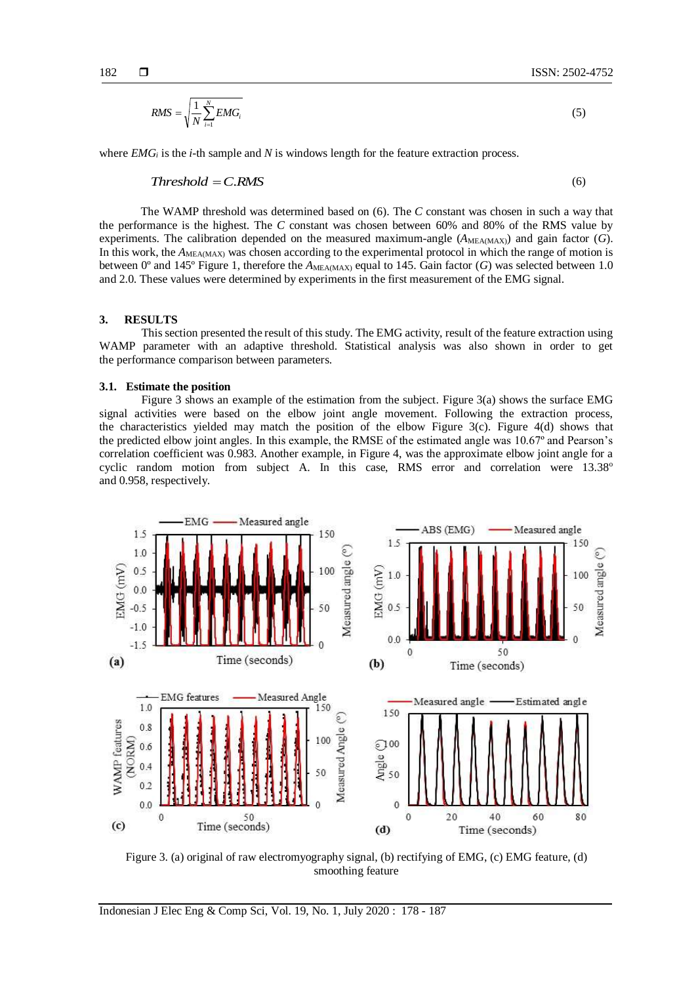(6)

$$
RMS = \sqrt{\frac{1}{N} \sum_{i=1}^{N} EMG_i}
$$
 (5)

where *EMG<sup>i</sup>* is the *i*-th sample and *N* is windows length for the feature extraction process.

$$
Threshold = C.RMS
$$

The WAMP threshold was determined based on (6). The *C* constant was chosen in such a way that the performance is the highest. The *C* constant was chosen between 60% and 80% of the RMS value by experiments. The calibration depended on the measured maximum-angle  $(A_{\text{MEAMAX}})$  and gain factor  $(G)$ . In this work, the  $A_{\text{MEAMAX}}$  was chosen according to the experimental protocol in which the range of motion is between  $0^{\circ}$  and 145° Figure 1, therefore the  $A_{\text{MEAMAX}}$  equal to 145. Gain factor (*G*) was selected between 1.0 and 2.0. These values were determined by experiments in the first measurement of the EMG signal.

#### **3. RESULTS**

This section presented the result of this study. The EMG activity, result of the feature extraction using WAMP parameter with an adaptive threshold. Statistical analysis was also shown in order to get the performance comparison between parameters.

#### **3.1. Estimate the position**

Figure 3 shows an example of the estimation from the subject. Figure 3(a) shows the surface EMG signal activities were based on the elbow joint angle movement. Following the extraction process, the characteristics yielded may match the position of the elbow Figure 3(c). Figure 4(d) shows that the predicted elbow joint angles. In this example, the RMSE of the estimated angle was 10.67º and Pearson's correlation coefficient was 0.983. Another example, in Figure 4, was the approximate elbow joint angle for a cyclic random motion from subject A. In this case, RMS error and correlation were 13.38° and 0.958, respectively.



Figure 3. (a) original of raw electromyography signal, (b) rectifying of EMG, (c) EMG feature, (d) smoothing feature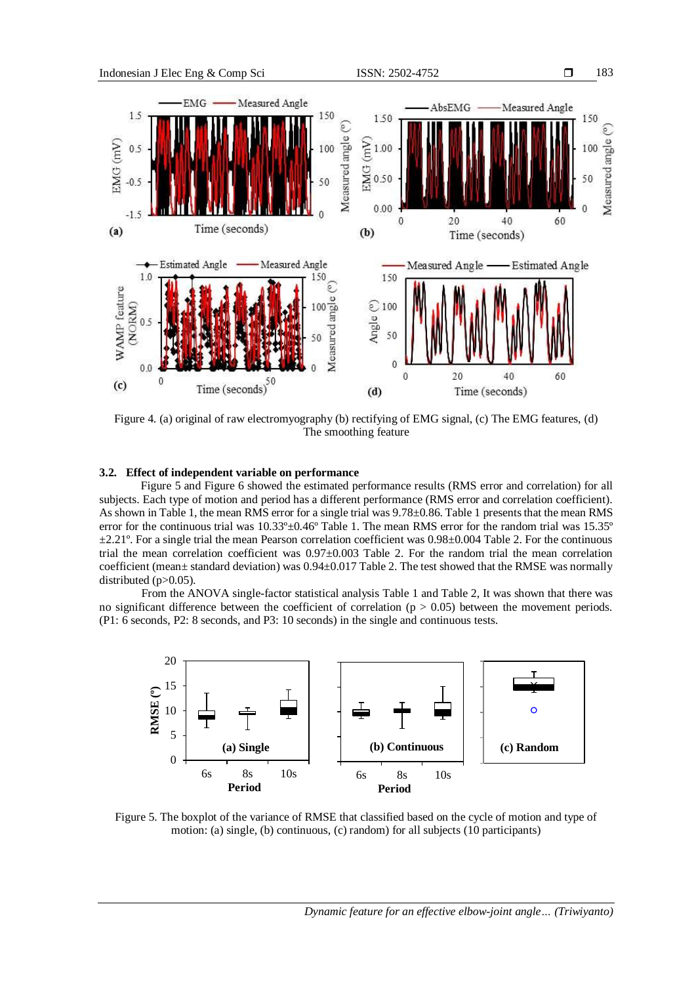

Figure 4. (a) original of raw electromyography (b) rectifying of EMG signal, (c) The EMG features, (d) The smoothing feature

# **3.2. Effect of independent variable on performance**

Figure 5 and Figure 6 showed the estimated performance results (RMS error and correlation) for all subjects. Each type of motion and period has a different performance (RMS error and correlation coefficient). As shown in Table 1, the mean RMS error for a single trial was 9.78±0.86. Table 1 presents that the mean RMS error for the continuous trial was  $10.33^\circ \pm 0.46^\circ$  Table 1. The mean RMS error for the random trial was  $15.35^\circ$ ±2.21º. For a single trial the mean Pearson correlation coefficient was 0.98±0.004 Table 2. For the continuous trial the mean correlation coefficient was  $0.97\pm0.003$  Table 2. For the random trial the mean correlation coefficient (mean± standard deviation) was 0.94±0.017 Table 2. The test showed that the RMSE was normally distributed (p>0.05).

From the ANOVA single-factor statistical analysis Table 1 and Table 2, It was shown that there was no significant difference between the coefficient of correlation ( $p > 0.05$ ) between the movement periods. (P1: 6 seconds, P2: 8 seconds, and P3: 10 seconds) in the single and continuous tests.



Figure 5. The boxplot of the variance of RMSE that classified based on the cycle of motion and type of motion: (a) single, (b) continuous, (c) random) for all subjects (10 participants)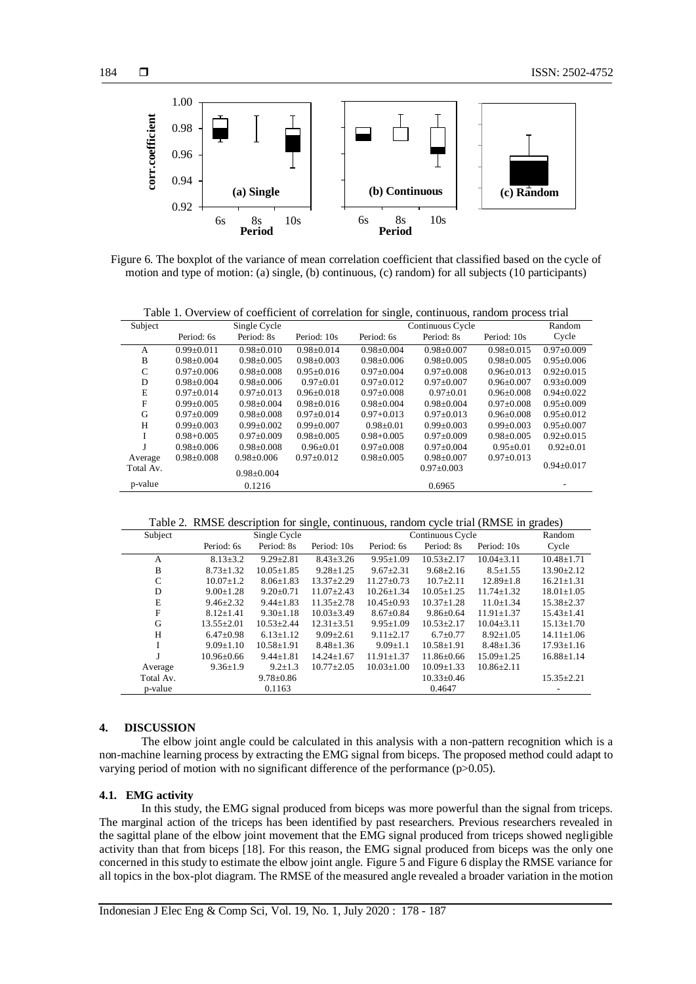

Figure 6. The boxplot of the variance of mean correlation coefficient that classified based on the cycle of motion and type of motion: (a) single, (b) continuous, (c) random) for all subjects (10 participants)

| Subject   |                  | Single Cycle     |                  |                  | Continuous Cycle |                  | Random           |
|-----------|------------------|------------------|------------------|------------------|------------------|------------------|------------------|
|           | Period: 6s       | Period: 8s       | Period: 10s      | Period: 6s       | Period: 8s       | Period: 10s      | Cycle            |
| А         | $0.99 \pm 0.011$ | $0.98 \pm 0.010$ | $0.98 + 0.014$   | $0.98 + 0.004$   | $0.98 + 0.007$   | $0.98 \pm 0.015$ | $0.97 \pm 0.009$ |
| B         | $0.98 + 0.004$   | $0.98 + 0.005$   | $0.98 + 0.003$   | $0.98 + 0.006$   | $0.98 + 0.005$   | $0.98 \pm 0.005$ | $0.95 \pm 0.006$ |
| C         | $0.97+0.006$     | $0.98 + 0.008$   | $0.95+0.016$     | $0.97+0.004$     | $0.97+0.008$     | $0.96 + 0.013$   | $0.92+0.015$     |
| D         | $0.98 + 0.004$   | $0.98 + 0.006$   | $0.97+0.01$      | $0.97+0.012$     | $0.97+0.007$     | $0.96 + 0.007$   | $0.93 \pm 0.009$ |
| Е         | $0.97 \pm 0.014$ | $0.97 \pm 0.013$ | $0.96 + 0.018$   | $0.97 \pm 0.008$ | $0.97 + 0.01$    | $0.96 \pm 0.008$ | $0.94 \pm 0.022$ |
| F         | $0.99 + 0.005$   | $0.98 + 0.004$   | $0.98 \pm 0.016$ | $0.98 + 0.004$   | $0.98 + 0.004$   | $0.97+0.008$     | $0.95+0.009$     |
| G         | $0.97+0.009$     | $0.98 + 0.008$   | $0.97+0.014$     | $0.97 + 0.013$   | $0.97+0.013$     | $0.96 + 0.008$   | $0.95+0.012$     |
| H         | $0.99 + 0.003$   | $0.99 + 0.002$   | $0.99 + 0.007$   | $0.98 + 0.01$    | $0.99 + 0.003$   | $0.99 + 0.003$   | $0.95 \pm 0.007$ |
| I         | $0.98 + 0.005$   | $0.97+0.009$     | $0.98 + 0.005$   | $0.98 + 0.005$   | $0.97+0.009$     | $0.98 + 0.005$   | $0.92+0.015$     |
|           | $0.98 \pm 0.006$ | $0.98 \pm 0.008$ | $0.96 \pm 0.01$  | $0.97 \pm 0.008$ | $0.97 \pm 0.004$ | $0.95 \pm 0.01$  | $0.92 \pm 0.01$  |
| Average   | $0.98 + 0.008$   | $0.98 + 0.006$   | $0.97+0.012$     | $0.98 \pm 0.005$ | $0.98 + 0.007$   | $0.97 \pm 0.013$ |                  |
| Total Av. |                  | $0.98 \pm 0.004$ |                  |                  | $0.97 \pm 0.003$ |                  | $0.94 \pm 0.017$ |
| p-value   |                  | 0.1216           |                  |                  | 0.6965           |                  |                  |

Table 1. Overview of coefficient of correlation for single, continuous, random process trial

Table 2. RMSE description for single, continuous, random cycle trial (RMSE in grades)

| Subject   | Single Cycle     |                  |                  | Continuous Cycle |                  |                  | Random           |
|-----------|------------------|------------------|------------------|------------------|------------------|------------------|------------------|
|           | Period: 6s       | Period: 8s       | Period: 10s      | Period: 6s       | Period: 8s       | Period: 10s      | Cycle            |
| A         | $8.13 \pm 3.2$   | $9.29 \pm 2.81$  | $8.43 \pm 3.26$  | $9.95 \pm 1.09$  | $10.53 \pm 2.17$ | $10.04 \pm 3.11$ | $10.48 \pm 1.71$ |
| B         | $8.73 \pm 1.32$  | $10.05 \pm 1.85$ | $9.28 \pm 1.25$  | $9.67 \pm 2.31$  | $9.68 \pm 2.16$  | $8.5 \pm 1.55$   | $13.90 \pm 2.12$ |
| C         | $10.07 \pm 1.2$  | $8.06 \pm 1.83$  | $13.37 \pm 2.29$ | $11.27 \pm 0.73$ | $10.7 \pm 2.11$  | $12.89 \pm 1.8$  | $16.21 \pm 1.31$ |
| D         | $9.00 \pm 1.28$  | $9.20 \pm 0.71$  | $11.07 \pm 2.43$ | $10.26 \pm 1.34$ | $10.05 \pm 1.25$ | $11.74 \pm 1.32$ | $18.01 \pm 1.05$ |
| E         | $9.46 + 2.32$    | $9.44 + 1.83$    | $11.35 + 2.78$   | $10.45 + 0.93$   | $10.37 + 1.28$   | $11.0+1.34$      | $15.38 + 2.37$   |
| F         | $8.12 \pm 1.41$  | $9.30 \pm 1.18$  | $10.03 \pm 3.49$ | $8.67 \pm 0.84$  | $9.86 \pm 0.64$  | $11.91 \pm 1.37$ | $15.43 \pm 1.41$ |
| G         | $13.55 \pm 2.01$ | $10.53 \pm 2.44$ | $12.31 \pm 3.51$ | $9.95 \pm 1.09$  | $10.53 \pm 2.17$ | $10.04 \pm 3.11$ | $15.13 \pm 1.70$ |
| H         | $6.47 \pm 0.98$  | $6.13 \pm 1.12$  | $9.09 \pm 2.61$  | $9.11 \pm 2.17$  | $6.7 \pm 0.77$   | $8.92 \pm 1.05$  | $14.11 \pm 1.06$ |
|           | $9.09 \pm 1.10$  | $10.58 \pm 1.91$ | $8.48 \pm 1.36$  | $9.09 \pm 1.1$   | $10.58 \pm 1.91$ | $8.48 \pm 1.36$  | $17.93 \pm 1.16$ |
|           | $10.96 \pm 0.66$ | $9.44 \pm 1.81$  | $14.24 \pm 1.67$ | $11.91 \pm 1.37$ | $11.86 \pm 0.66$ | $15.09 \pm 1.25$ | $16.88 \pm 1.14$ |
| Average   | $9.36 \pm 1.9$   | $9.2 \pm 1.3$    | $10.77 \pm 2.05$ | $10.03 \pm 1.00$ | $10.09 \pm 1.33$ | $10.86 \pm 2.11$ |                  |
| Total Av. |                  | $9.78 \pm 0.86$  |                  |                  | $10.33 \pm 0.46$ |                  | $15.35 \pm 2.21$ |
| p-value   |                  | 0.1163           |                  |                  | 0.4647           |                  |                  |

# **4. DISCUSSION**

The elbow joint angle could be calculated in this analysis with a non-pattern recognition which is a non-machine learning process by extracting the EMG signal from biceps. The proposed method could adapt to varying period of motion with no significant difference of the performance (p>0.05).

# **4.1. EMG activity**

In this study, the EMG signal produced from biceps was more powerful than the signal from triceps. The marginal action of the triceps has been identified by past researchers. Previous researchers revealed in the sagittal plane of the elbow joint movement that the EMG signal produced from triceps showed negligible activity than that from biceps [18]. For this reason, the EMG signal produced from biceps was the only one concerned in this study to estimate the elbow joint angle. Figure 5 and Figure 6 display the RMSE variance for all topics in the box-plot diagram. The RMSE of the measured angle revealed a broader variation in the motion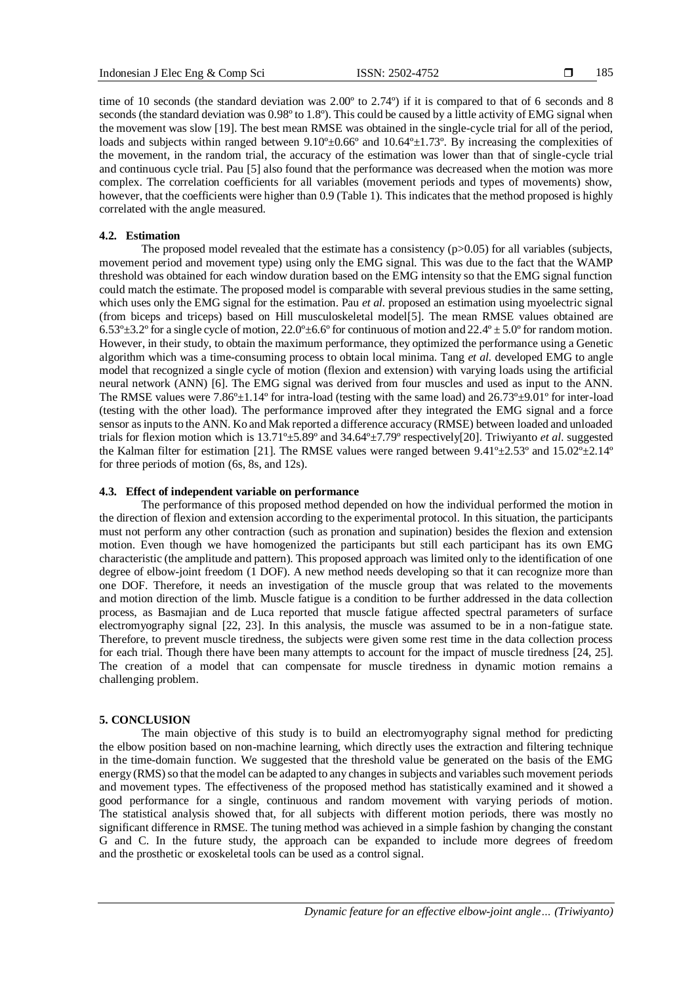185

time of 10 seconds (the standard deviation was 2.00° to 2.74°) if it is compared to that of 6 seconds and 8 seconds (the standard deviation was  $0.98^{\circ}$  to 1.8°). This could be caused by a little activity of EMG signal when the movement was slow [19]. The best mean RMSE was obtained in the single-cycle trial for all of the period, loads and subjects within ranged between  $9.10^{\circ}$ ±0.66° and  $10.64^{\circ}$ ±1.73°. By increasing the complexities of the movement, in the random trial, the accuracy of the estimation was lower than that of single-cycle trial and continuous cycle trial. Pau [5] also found that the performance was decreased when the motion was more complex. The correlation coefficients for all variables (movement periods and types of movements) show, however, that the coefficients were higher than 0.9 (Table 1). This indicates that the method proposed is highly correlated with the angle measured.

## **4.2. Estimation**

The proposed model revealed that the estimate has a consistency  $(p>0.05)$  for all variables (subjects, movement period and movement type) using only the EMG signal. This was due to the fact that the WAMP threshold was obtained for each window duration based on the EMG intensity so that the EMG signal function could match the estimate. The proposed model is comparable with several previous studies in the same setting, which uses only the EMG signal for the estimation. Pau *et al.* proposed an estimation using myoelectric signal (from biceps and triceps) based on Hill musculoskeletal model[5]. The mean RMSE values obtained are  $6.53^{\circ}$ ±3.2° for a single cycle of motion, 22.0°±6.6° for continuous of motion and 22.4° ± 5.0° for random motion. However, in their study, to obtain the maximum performance, they optimized the performance using a Genetic algorithm which was a time-consuming process to obtain local minima. Tang *et al.* developed EMG to angle model that recognized a single cycle of motion (flexion and extension) with varying loads using the artificial neural network (ANN) [6]. The EMG signal was derived from four muscles and used as input to the ANN. The RMSE values were  $7.86^{\circ} \pm 1.14^{\circ}$  for intra-load (testing with the same load) and  $26.73^{\circ} \pm 9.01^{\circ}$  for inter-load (testing with the other load). The performance improved after they integrated the EMG signal and a force sensor as inputs to the ANN. Ko and Mak reported a difference accuracy (RMSE) between loaded and unloaded trials for flexion motion which is 13.71º±5.89º and 34.64º±7.79º respectively[20]. Triwiyanto *et al*. suggested the Kalman filter for estimation [21]. The RMSE values were ranged between 9.41º±2.53º and 15.02º±2.14º for three periods of motion (6s, 8s, and 12s).

## **4.3. Effect of independent variable on performance**

The performance of this proposed method depended on how the individual performed the motion in the direction of flexion and extension according to the experimental protocol. In this situation, the participants must not perform any other contraction (such as pronation and supination) besides the flexion and extension motion. Even though we have homogenized the participants but still each participant has its own EMG characteristic (the amplitude and pattern). This proposed approach was limited only to the identification of one degree of elbow-joint freedom (1 DOF). A new method needs developing so that it can recognize more than one DOF. Therefore, it needs an investigation of the muscle group that was related to the movements and motion direction of the limb. Muscle fatigue is a condition to be further addressed in the data collection process, as Basmajian and de Luca reported that muscle fatigue affected spectral parameters of surface electromyography signal [22, 23]. In this analysis, the muscle was assumed to be in a non-fatigue state. Therefore, to prevent muscle tiredness, the subjects were given some rest time in the data collection process for each trial. Though there have been many attempts to account for the impact of muscle tiredness [24, 25]. The creation of a model that can compensate for muscle tiredness in dynamic motion remains a challenging problem.

## **5. CONCLUSION**

The main objective of this study is to build an electromyography signal method for predicting the elbow position based on non-machine learning, which directly uses the extraction and filtering technique in the time-domain function. We suggested that the threshold value be generated on the basis of the EMG energy (RMS) so that the model can be adapted to any changes in subjects and variables such movement periods and movement types. The effectiveness of the proposed method has statistically examined and it showed a good performance for a single, continuous and random movement with varying periods of motion. The statistical analysis showed that, for all subjects with different motion periods, there was mostly no significant difference in RMSE. The tuning method was achieved in a simple fashion by changing the constant G and C. In the future study, the approach can be expanded to include more degrees of freedom and the prosthetic or exoskeletal tools can be used as a control signal.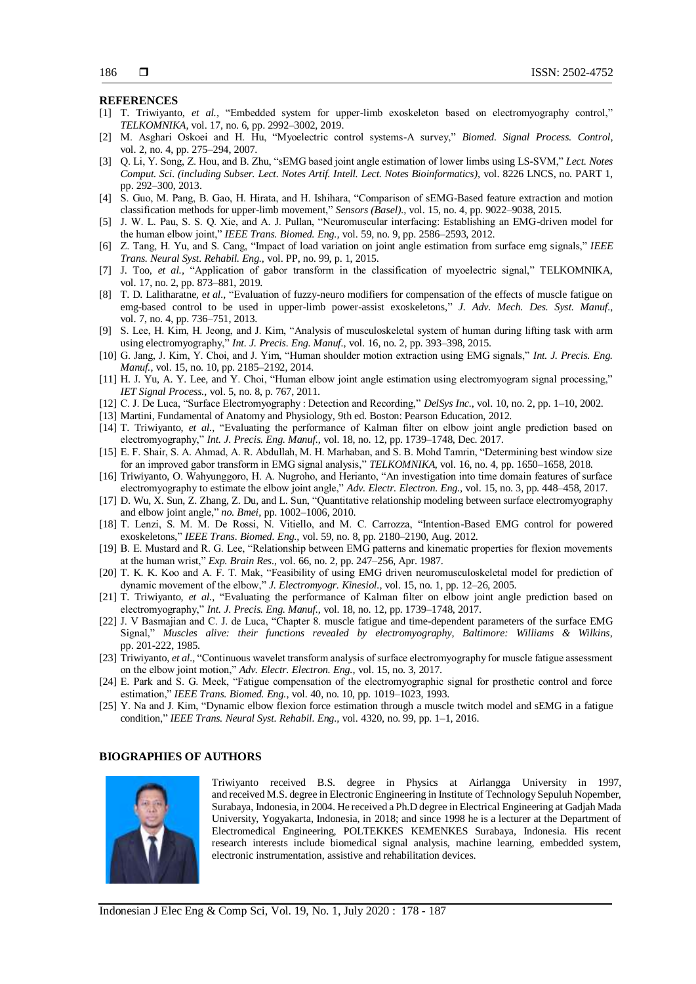#### **REFERENCES**

- [1] T. Triwiyanto, *et al.,* "Embedded system for upper-limb exoskeleton based on electromyography control," *TELKOMNIKA,* vol. 17, no. 6, pp. 2992–3002, 2019.
- [2] M. Asghari Oskoei and H. Hu, "Myoelectric control systems-A survey," *Biomed. Signal Process. Control,*  vol. 2, no. 4, pp. 275–294, 2007.
- [3] Q. Li, Y. Song, Z. Hou, and B. Zhu, "sEMG based joint angle estimation of lower limbs using LS-SVM," *Lect. Notes Comput. Sci. (including Subser. Lect. Notes Artif. Intell. Lect. Notes Bioinformatics),* vol. 8226 LNCS, no. PART 1, pp. 292–300, 2013.
- [4] S. Guo, M. Pang, B. Gao, H. Hirata, and H. Ishihara, "Comparison of sEMG-Based feature extraction and motion classification methods for upper-limb movement," *Sensors (Basel).,* vol. 15, no. 4, pp. 9022–9038, 2015.
- [5] J. W. L. Pau, S. S. Q. Xie, and A. J. Pullan, "Neuromuscular interfacing: Establishing an EMG-driven model for the human elbow joint," *IEEE Trans. Biomed. Eng.,* vol. 59, no. 9, pp. 2586–2593, 2012.
- [6] Z. Tang, H. Yu, and S. Cang, "Impact of load variation on joint angle estimation from surface emg signals," *IEEE Trans. Neural Syst. Rehabil. Eng.,* vol. PP, no. 99, p. 1, 2015.
- [7] J. Too, *et al.,* "Application of gabor transform in the classification of myoelectric signal," TELKOMNIKA, vol. 17, no. 2, pp. 873–881, 2019.
- [8] T. D. Lalitharatne, e*t al.,* "Evaluation of fuzzy-neuro modifiers for compensation of the effects of muscle fatigue on emg-based control to be used in upper-limb power-assist exoskeletons," *J. Adv. Mech. Des. Syst. Manuf.,* vol. 7, no. 4, pp. 736–751, 2013.
- [9] S. Lee, H. Kim, H. Jeong, and J. Kim, "Analysis of musculoskeletal system of human during lifting task with arm using electromyography," *Int. J. Precis. Eng. Manuf.,* vol. 16, no. 2, pp. 393–398, 2015.
- [10] G. Jang, J. Kim, Y. Choi, and J. Yim, "Human shoulder motion extraction using EMG signals," *Int. J. Precis. Eng. Manuf.,* vol. 15, no. 10, pp. 2185–2192, 2014.
- [11] H. J. Yu, A. Y. Lee, and Y. Choi, "Human elbow joint angle estimation using electromyogram signal processing," *IET Signal Process.,* vol. 5, no. 8, p. 767, 2011.
- [12] C. J. De Luca, "Surface Electromyography : Detection and Recording," *DelSys Inc.,* vol. 10, no. 2, pp. 1–10, 2002.
- [13] Martini, Fundamental of Anatomy and Physiology, 9th ed. Boston: Pearson Education, 2012.
- [14] T. Triwiyanto, *et al.,* "Evaluating the performance of Kalman filter on elbow joint angle prediction based on electromyography," *Int. J. Precis. Eng. Manuf.,* vol. 18, no. 12, pp. 1739–1748, Dec. 2017.
- [15] E. F. Shair, S. A. Ahmad, A. R. Abdullah, M. H. Marhaban, and S. B. Mohd Tamrin, "Determining best window size for an improved gabor transform in EMG signal analysis," *TELKOMNIKA,* vol. 16, no. 4, pp. 1650–1658, 2018.
- [16] Triwiyanto, O. Wahyunggoro, H. A. Nugroho, and Herianto, "An investigation into time domain features of surface electromyography to estimate the elbow joint angle," *Adv. Electr. Electron. Eng.,* vol. 15, no. 3, pp. 448–458, 2017.
- [17] D. Wu, X. Sun, Z. Zhang, Z. Du, and L. Sun, "Quantitative relationship modeling between surface electromyography and elbow joint angle," *no. Bmei,* pp. 1002–1006, 2010.
- [18] T. Lenzi, S. M. M. De Rossi, N. Vitiello, and M. C. Carrozza, "Intention-Based EMG control for powered exoskeletons," *IEEE Trans. Biomed. Eng.,* vol. 59, no. 8, pp. 2180–2190, Aug. 2012.
- [19] B. E. Mustard and R. G. Lee, "Relationship between EMG patterns and kinematic properties for flexion movements at the human wrist," *Exp. Brain Res.,* vol. 66, no. 2, pp. 247–256, Apr. 1987.
- [20] T. K. K. Koo and A. F. T. Mak, "Feasibility of using EMG driven neuromusculoskeletal model for prediction of dynamic movement of the elbow," *J. Electromyogr. Kinesiol.,* vol. 15, no. 1, pp. 12–26, 2005.
- [21] T. Triwiyanto, *et al.,* "Evaluating the performance of Kalman filter on elbow joint angle prediction based on electromyography," *Int. J. Precis. Eng. Manuf.,* vol. 18, no. 12, pp. 1739–1748, 2017.
- [22] J. V Basmajian and C. J. de Luca, "Chapter 8. muscle fatigue and time-dependent parameters of the surface EMG Signal," *Muscles alive: their functions revealed by electromyography, Baltimore: Williams & Wilkins,* pp. 201-222, 1985.
- [23] Triwiyanto, *et al.,* "Continuous wavelet transform analysis of surface electromyography for muscle fatigue assessment on the elbow joint motion," *Adv. Electr. Electron. Eng.,* vol. 15, no. 3, 2017.
- [24] E. Park and S. G. Meek, "Fatigue compensation of the electromyographic signal for prosthetic control and force estimation," *IEEE Trans. Biomed. Eng.,* vol. 40, no. 10, pp. 1019–1023, 1993.
- [25] Y. Na and J. Kim, "Dynamic elbow flexion force estimation through a muscle twitch model and sEMG in a fatigue condition," *IEEE Trans. Neural Syst. Rehabil. Eng.,* vol. 4320, no. 99, pp. 1–1, 2016.

#### **BIOGRAPHIES OF AUTHORS**



Triwiyanto received B.S. degree in Physics at Airlangga University in 1997, and received M.S. degree in Electronic Engineering in Institute of Technology Sepuluh Nopember, Surabaya, Indonesia, in 2004. He received a Ph.D degree in Electrical Engineering at Gadjah Mada University, Yogyakarta, Indonesia, in 2018; and since 1998 he is a lecturer at the Department of Electromedical Engineering, POLTEKKES KEMENKES Surabaya, Indonesia. His recent research interests include biomedical signal analysis, machine learning, embedded system, electronic instrumentation, assistive and rehabilitation devices.